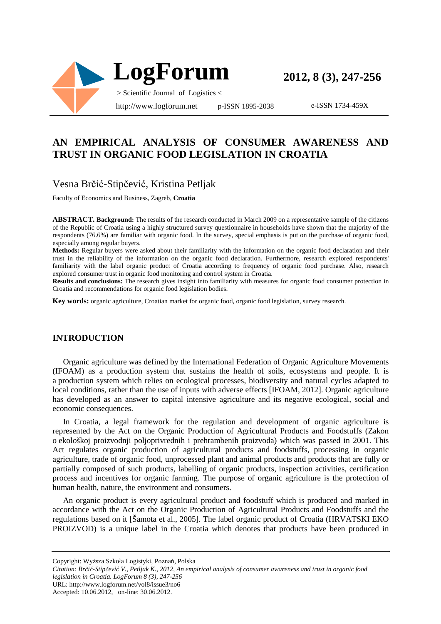

e-ISSN 1734-459X

## **AN EMPIRICAL ANALYSIS OF CONSUMER AWARENESS AND TRUST IN ORGANIC FOOD LEGISLATION IN CROATIA**

## Vesna Brčić-Stipčević, Kristina Petljak

Faculty of Economics and Business, Zagreb, **Croatia**

**ABSTRACT. Background:** The results of the research conducted in March 2009 on a representative sample of the citizens of the Republic of Croatia using a highly structured survey questionnaire in households have shown that the majority of the respondents (76.6%) are familiar with organic food. In the survey, special emphasis is put on the purchase of organic food, especially among regular buyers.

**Methods:** Regular buyers were asked about their familiarity with the information on the organic food declaration and their trust in the reliability of the information on the organic food declaration. Furthermore, research explored respondents' familiarity with the label organic product of Croatia according to frequency of organic food purchase. Also, research explored consumer trust in organic food monitoring and control system in Croatia.

**Results and conclusions:** The research gives insight into familiarity with measures for organic food consumer protection in Croatia and recommendations for organic food legislation bodies.

**Key words:** organic agriculture, Croatian market for organic food, organic food legislation, survey research.

#### **INTRODUCTION**

Organic agriculture was defined by the International Federation of Organic Agriculture Movements (IFOAM) as a production system that sustains the health of soils, ecosystems and people. It is a production system which relies on ecological processes, biodiversity and natural cycles adapted to local conditions, rather than the use of inputs with adverse effects [IFOAM, 2012]. Organic agriculture has developed as an answer to capital intensive agriculture and its negative ecological, social and economic consequences.

In Croatia, a legal framework for the regulation and development of organic agriculture is represented by the Act on the Organic Production of Agricultural Products and Foodstuffs (Zakon o ekološkoj proizvodnji poljoprivrednih i prehrambenih proizvoda) which was passed in 2001. This Act regulates organic production of agricultural products and foodstuffs, processing in organic agriculture, trade of organic food, unprocessed plant and animal products and products that are fully or partially composed of such products, labelling of organic products, inspection activities, certification process and incentives for organic farming. The purpose of organic agriculture is the protection of human health, nature, the environment and consumers.

An organic product is every agricultural product and foodstuff which is produced and marked in accordance with the Act on the Organic Production of Agricultural Products and Foodstuffs and the regulations based on it [Šamota et al., 2005]. The label organic product of Croatia (HRVATSKI EKO PROIZVOD) is a unique label in the Croatia which denotes that products have been produced in

Copyright: Wyższa Szkoła Logistyki, Poznań, Polska

*Citation: Brčić-Stipčević V., Petljak K., 2012, An empirical analysis of consumer awareness and trust in organic food legislation in Croatia. LogForum 8 (3), 247-256* 

URL: http://www.logforum.net/vol8/issue3/no6

Accepted: 10.06.2012, on-line: 30.06.2012.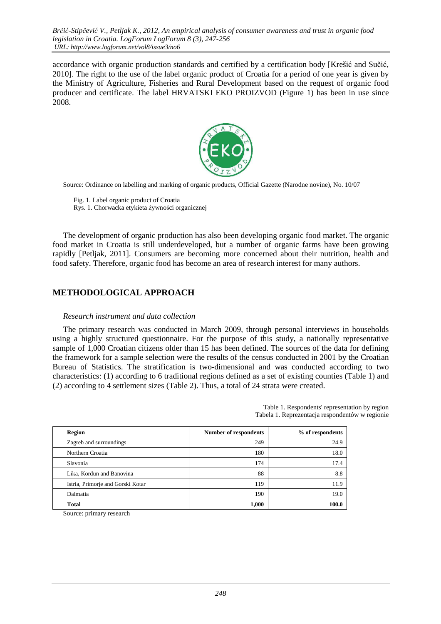accordance with organic production standards and certified by a certification body [Krešić and Sučić, 2010]. The right to the use of the label organic product of Croatia for a period of one year is given by the Ministry of Agriculture, Fisheries and Rural Development based on the request of organic food producer and certificate. The label HRVATSKI EKO PROIZVOD (Figure 1) has been in use since 2008.



Source: Ordinance on labelling and marking of organic products, Official Gazette (Narodne novine), No. 10/07

 Fig. 1. Label organic product of Croatia Rys. 1. Chorwacka etykieta żywności organicznej

The development of organic production has also been developing organic food market. The organic food market in Croatia is still underdeveloped, but a number of organic farms have been growing rapidly [Petljak, 2011]. Consumers are becoming more concerned about their nutrition, health and food safety. Therefore, organic food has become an area of research interest for many authors.

## **METHODOLOGICAL APPROACH**

#### *Research instrument and data collection*

The primary research was conducted in March 2009, through personal interviews in households using a highly structured questionnaire. For the purpose of this study, a nationally representative sample of 1,000 Croatian citizens older than 15 has been defined. The sources of the data for defining the framework for a sample selection were the results of the census conducted in 2001 by the Croatian Bureau of Statistics. The stratification is two-dimensional and was conducted according to two characteristics: (1) according to 6 traditional regions defined as a set of existing counties (Table 1) and (2) according to 4 settlement sizes (Table 2). Thus, a total of 24 strata were created.

> Table 1. Respondents' representation by region Tabela 1. Reprezentacja respondentów w regionie

| <b>Region</b>                     | <b>Number of respondents</b> | % of respondents |  |  |
|-----------------------------------|------------------------------|------------------|--|--|
| Zagreb and surroundings           | 249                          | 24.9             |  |  |
| Northern Croatia                  | 180                          | 18.0             |  |  |
| Slavonia                          | 174                          | 17.4             |  |  |
| Lika, Kordun and Banovina         | 88                           | 8.8              |  |  |
| Istria, Primorje and Gorski Kotar | 119                          | 11.9             |  |  |
| Dalmatia                          | 190                          | 19.0             |  |  |
| <b>Total</b>                      | 1,000                        | 100.0            |  |  |

Source: primary research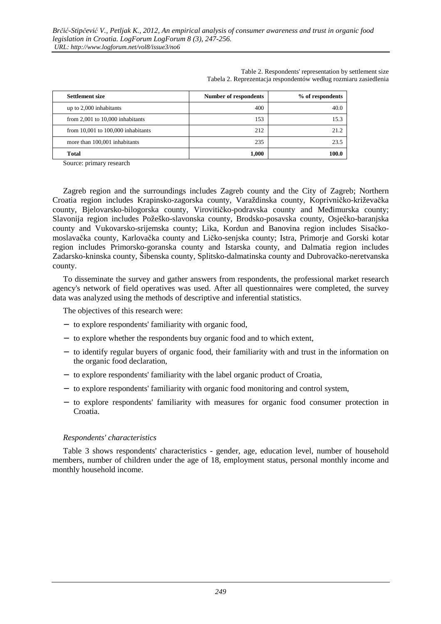| <b>Settlement size</b>                 | <b>Number of respondents</b> | % of respondents |
|----------------------------------------|------------------------------|------------------|
| up to $2,000$ inhabitants              | 400                          | 40.0             |
| from $2,001$ to $10,000$ inhabitants   | 153                          | 15.3             |
| from $10,001$ to $100,000$ inhabitants | 212                          | 21.2             |
| more than 100,001 inhabitants          | 235                          | 23.5             |
| <b>Total</b>                           | 1,000                        | 100.0            |

Table 2. Respondents' representation by settlement size Tabela 2. Reprezentacja respondentów według rozmiaru zasiedlenia

Source: primary research

Zagreb region and the surroundings includes Zagreb county and the City of Zagreb; Northern Croatia region includes Krapinsko-zagorska county, Varaždinska county, Koprivničko-križevačka county, Bjelovarsko-bilogorska county, Virovitičko-podravska county and Međimurska county; Slavonija region includes Požeško-slavonska county, Brodsko-posavska county, Osječko-baranjska county and Vukovarsko-srijemska county; Lika, Kordun and Banovina region includes Sisačkomoslavačka county, Karlovačka county and Ličko-senjska county; Istra, Primorje and Gorski kotar region includes Primorsko-goranska county and Istarska county, and Dalmatia region includes Zadarsko-kninska county, Šibenska county, Splitsko-dalmatinska county and Dubrovačko-neretvanska county.

To disseminate the survey and gather answers from respondents, the professional market research agency's network of field operatives was used. After all questionnaires were completed, the survey data was analyzed using the methods of descriptive and inferential statistics.

The objectives of this research were:

- − to explore respondents' familiarity with organic food,
- − to explore whether the respondents buy organic food and to which extent,
- − to identify regular buyers of organic food, their familiarity with and trust in the information on the organic food declaration,
- − to explore respondents' familiarity with the label organic product of Croatia,
- − to explore respondents' familiarity with organic food monitoring and control system,
- − to explore respondents' familiarity with measures for organic food consumer protection in Croatia.

#### *Respondents' characteristics*

Table 3 shows respondents' characteristics - gender, age, education level, number of household members, number of children under the age of 18, employment status, personal monthly income and monthly household income.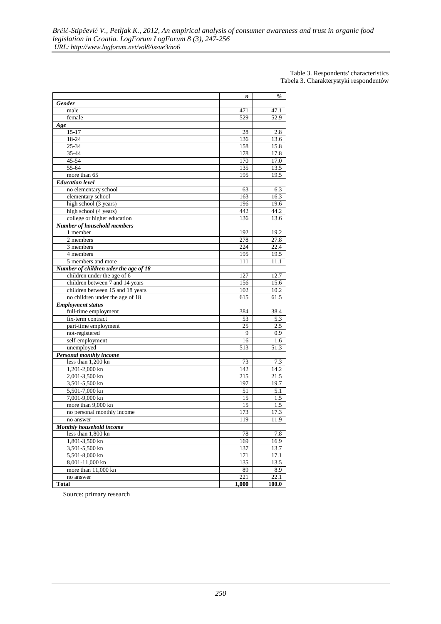#### Table 3. Respondents' characteristics Tabela 3. Charakterystyki respondentów

|                                       |       | %     |
|---------------------------------------|-------|-------|
|                                       | n     |       |
| <b>Gender</b><br>male                 | 471   | 47.1  |
|                                       | 529   |       |
| female                                |       | 52.9  |
| Age                                   |       |       |
| $15 - 17$                             | 28    | 2.8   |
| 18-24                                 | 136   | 13.6  |
| $25 - 34$                             | 158   | 15.8  |
| 35-44                                 | 178   | 17.8  |
| 45-54                                 | 170   | 17.0  |
| 55-64                                 | 135   | 13.5  |
| more than 65                          | 195   | 19.5  |
| <b>Education</b> level                |       |       |
| no elementary school                  | 63    | 6.3   |
| elementary school                     | 163   | 16.3  |
| high school (3 years)                 | 196   | 19.6  |
| high school (4 years)                 | 442   | 44.2  |
| college or higher education           | 136   | 13.6  |
| Number of household members           |       |       |
| 1 member                              | 192   | 19.2  |
| 2 members                             | 278   | 27.8  |
| 3 members                             | 224   | 22.4  |
| 4 members                             | 195   | 19.5  |
| 5 members and more                    | 111   | 11.1  |
| Number of children uder the age of 18 |       |       |
| children under the age of 6           | 127   | 12.7  |
| children between 7 and 14 years       | 156   | 15.6  |
| children between 15 and 18 years      | 102   | 10.2  |
| no children under the age of 18       | 615   | 61.5  |
| <b>Employment status</b>              |       |       |
| full-time employment                  | 384   | 38.4  |
| fix-term contract                     | 53    | 5.3   |
| part-time employment                  | 25    | 2.5   |
| not-registered                        | 9     | 0.9   |
| self-employment                       | 16    | 1.6   |
| unemployed                            | 513   | 51.3  |
| Personal monthly income               |       |       |
| less than 1,200 kn                    | 73    | 7.3   |
| 1,201-2,000 kn                        | 142   | 14.2  |
| 2,001-3,500 kn                        | 215   | 21.5  |
| 3,501-5,500 kn                        | 197   | 19.7  |
| 5,501-7,000 kn                        | 51    | 5.1   |
| 7,001-9,000 kn                        | 15    | 1.5   |
| more than 9,000 kn                    | 15    | 1.5   |
| no personal monthly income            | 173   | 17.3  |
| no answer                             | 119   | 11.9  |
| Monthly household income              |       |       |
| less than 1,800 kn                    | 78    | 7.8   |
| 1,801-3,500 kn                        | 169   | 16.9  |
| 3,501-5,500 kn                        | 137   | 13.7  |
| 5,501-8,000 kn                        | 171   | 17.1  |
| 8,001-11,000 kn                       | 135   | 13.5  |
| more than 11,000 kn                   | 89    | 8.9   |
| no answer                             | 221   | 22.1  |
| <b>Total</b>                          | 1,000 | 100.0 |
|                                       |       |       |

Source: primary research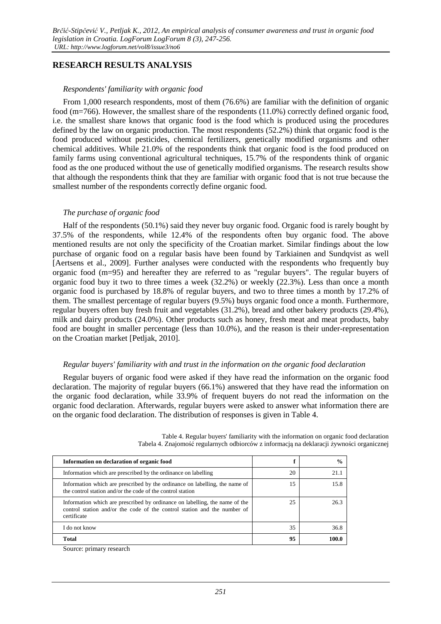### **RESEARCH RESULTS ANALYSIS**

#### *Respondents' familiarity with organic food*

From 1,000 research respondents, most of them (76.6%) are familiar with the definition of organic food (m=766). However, the smallest share of the respondents (11.0%) correctly defined organic food, i.e. the smallest share knows that organic food is the food which is produced using the procedures defined by the law on organic production. The most respondents (52.2%) think that organic food is the food produced without pesticides, chemical fertilizers, genetically modified organisms and other chemical additives. While 21.0% of the respondents think that organic food is the food produced on family farms using conventional agricultural techniques, 15.7% of the respondents think of organic food as the one produced without the use of genetically modified organisms. The research results show that although the respondents think that they are familiar with organic food that is not true because the smallest number of the respondents correctly define organic food.

### *The purchase of organic food*

Half of the respondents (50.1%) said they never buy organic food. Organic food is rarely bought by 37.5% of the respondents, while 12.4% of the respondents often buy organic food. The above mentioned results are not only the specificity of the Croatian market. Similar findings about the low purchase of organic food on a regular basis have been found by Tarkiainen and Sundqvist as well [Aertsens et al., 2009]. Further analyses were conducted with the respondents who frequently buy organic food (m=95) and hereafter they are referred to as "regular buyers". The regular buyers of organic food buy it two to three times a week (32.2%) or weekly (22.3%). Less than once a month organic food is purchased by 18.8% of regular buyers, and two to three times a month by 17.2% of them. The smallest percentage of regular buyers (9.5%) buys organic food once a month. Furthermore, regular buyers often buy fresh fruit and vegetables (31.2%), bread and other bakery products (29.4%), milk and dairy products (24.0%). Other products such as honey, fresh meat and meat products, baby food are bought in smaller percentage (less than 10.0%), and the reason is their under-representation on the Croatian market [Petljak, 2010].

#### *Regular buyers' familiarity with and trust in the information on the organic food declaration*

Regular buyers of organic food were asked if they have read the information on the organic food declaration. The majority of regular buyers (66.1%) answered that they have read the information on the organic food declaration, while 33.9% of frequent buyers do not read the information on the organic food declaration. Afterwards, regular buyers were asked to answer what information there are on the organic food declaration. The distribution of responses is given in Table 4.

| Information on declaration of organic food                                                                                                                             | ₽  | $\frac{0}{0}$ |
|------------------------------------------------------------------------------------------------------------------------------------------------------------------------|----|---------------|
| Information which are prescribed by the ordinance on labelling                                                                                                         | 20 | 21.1          |
| Information which are prescribed by the ordinance on labelling, the name of<br>the control station and/or the code of the control station                              | 15 | 15.8          |
| Information which are prescribed by ordinance on labelling, the name of the<br>control station and/or the code of the control station and the number of<br>certificate | 25 | 26.3          |
| I do not know                                                                                                                                                          | 35 | 36.8          |
| <b>Total</b>                                                                                                                                                           | 95 | 100.0         |

Table 4. Regular buyers' familiarity with the information on organic food declaration Tabela 4. Znajomość regularnych odbiorców z informacją na deklaracji żywności organicznej

Source: primary research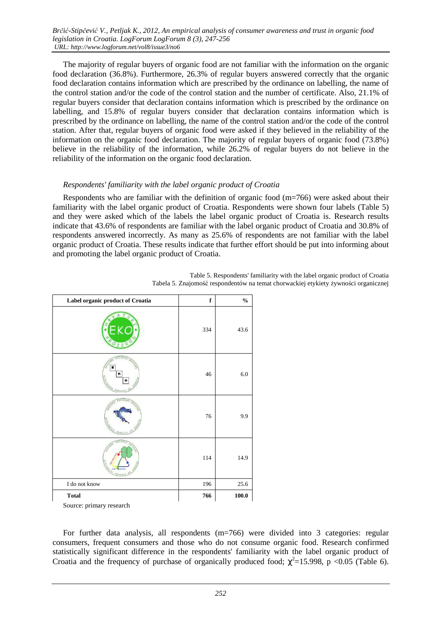The majority of regular buyers of organic food are not familiar with the information on the organic food declaration (36.8%). Furthermore, 26.3% of regular buyers answered correctly that the organic food declaration contains information which are prescribed by the ordinance on labelling, the name of the control station and/or the code of the control station and the number of certificate. Also, 21.1% of regular buyers consider that declaration contains information which is prescribed by the ordinance on labelling, and 15.8% of regular buyers consider that declaration contains information which is prescribed by the ordinance on labelling, the name of the control station and/or the code of the control station. After that, regular buyers of organic food were asked if they believed in the reliability of the information on the organic food declaration. The majority of regular buyers of organic food (73.8%) believe in the reliability of the information, while 26.2% of regular buyers do not believe in the reliability of the information on the organic food declaration.

#### *Respondents' familiarity with the label organic product of Croatia*

Respondents who are familiar with the definition of organic food (m=766) were asked about their familiarity with the label organic product of Croatia. Respondents were shown four labels (Table 5) and they were asked which of the labels the label organic product of Croatia is. Research results indicate that 43.6% of respondents are familiar with the label organic product of Croatia and 30.8% of respondents answered incorrectly. As many as 25.6% of respondents are not familiar with the label organic product of Croatia. These results indicate that further effort should be put into informing about and promoting the label organic product of Croatia.

| Label organic product of Croatia | $\mathbf f$ | $\frac{0}{0}$ |  |
|----------------------------------|-------------|---------------|--|
|                                  | 334         | 43.6          |  |
| G<br>Е<br>κ                      | 46          | $6.0\,$       |  |
|                                  | 76          | 9.9           |  |
|                                  | 114         | 14.9          |  |
| I do not know                    | 196         | $25.6\,$      |  |
| <b>Total</b>                     | 766         | $\bf 100.0$   |  |

Table 5. Respondents' familiarity with the label organic product of Croatia Tabela 5. Znajomość respondentów na temat chorwackiej etykiety żywności organicznej

For further data analysis, all respondents (m=766) were divided into 3 categories: regular consumers, frequent consumers and those who do not consume organic food. Research confirmed statistically significant difference in the respondents' familiarity with the label organic product of Croatia and the frequency of purchase of organically produced food;  $\chi^2$ =15.998, p <0.05 (Table 6).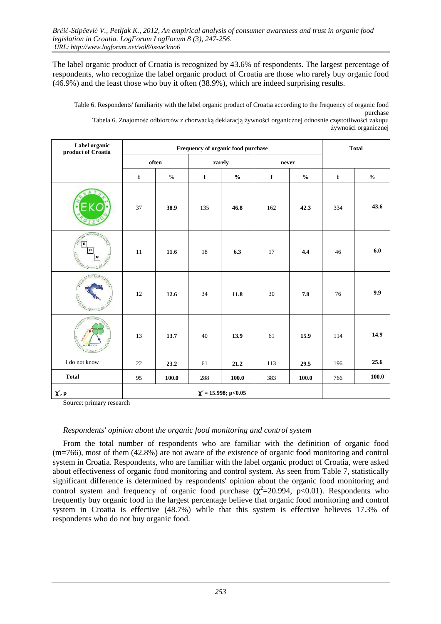The label organic product of Croatia is recognized by 43.6% of respondents. The largest percentage of respondents, who recognize the label organic product of Croatia are those who rarely buy organic food (46.9%) and the least those who buy it often (38.9%), which are indeed surprising results.

Table 6. Respondents' familiarity with the label organic product of Croatia according to the frequency of organic food purchase Tabela 6. Znajomość odbiorców z chorwacką deklaracją żywności organicznej odnośnie częstotliwości zakupu żywności organicznej

| Label organic<br>product of Croatia | Frequency of organic food purchase |                 |             |                           |             |               | <b>Total</b> |               |
|-------------------------------------|------------------------------------|-----------------|-------------|---------------------------|-------------|---------------|--------------|---------------|
|                                     |                                    | often<br>rarely |             |                           | never       |               |              |               |
|                                     | $\mathbf f$                        | $\frac{0}{0}$   | $\mathbf f$ | $\frac{6}{6}$             | $\mathbf f$ | $\frac{0}{0}$ | $\mathbf f$  | $\frac{0}{0}$ |
|                                     | 37                                 | 38.9            | 135         | 46.8                      | 162         | 42.3          | 334          | 43.6          |
| E<br>ĸ                              | 11                                 | 11.6            | 18          | 6.3                       | 17          | 4.4           | 46           | 6.0           |
|                                     | 12                                 | 12.6            | 34          | 11.8                      | 30          | 7.8           | 76           | 9.9           |
|                                     | 13                                 | 13.7            | 40          | 13.9                      | 61          | 15.9          | 114          | 14.9          |
| I do not know                       | 22                                 | 23.2            | 61          | 21.2                      | 113         | 29.5          | 196          | 25.6          |
| <b>Total</b>                        | 95                                 | 100.0           | 288         | 100.0                     | 383         | 100.0         | 766          | 100.0         |
| $\chi^2$ , p                        |                                    |                 |             | $\chi^2$ = 15.998; p<0.05 |             |               |              |               |

Source: primary research

### *Respondents' opinion about the organic food monitoring and control system*

From the total number of respondents who are familiar with the definition of organic food (m=766), most of them (42.8%) are not aware of the existence of organic food monitoring and control system in Croatia. Respondents, who are familiar with the label organic product of Croatia, were asked about effectiveness of organic food monitoring and control system. As seen from Table 7, statistically significant difference is determined by respondents' opinion about the organic food monitoring and control system and frequency of organic food purchase ( $\chi^2$ =20.994, p<0.01). Respondents who frequently buy organic food in the largest percentage believe that organic food monitoring and control system in Croatia is effective (48.7%) while that this system is effective believes 17.3% of respondents who do not buy organic food.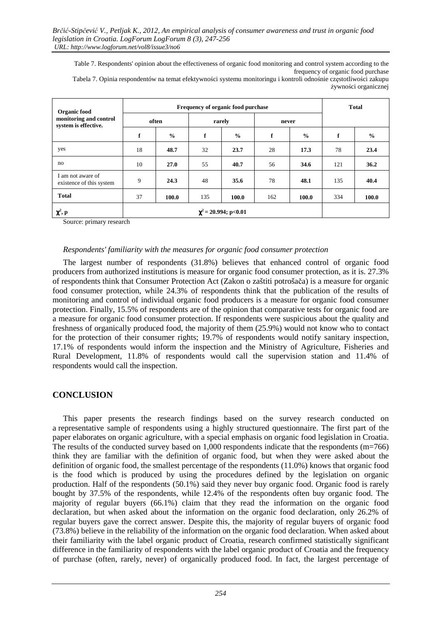Table 7. Respondents' opinion about the effectiveness of organic food monitoring and control system according to the frequency of organic food purchase Tabela 7. Opinia respondentów na temat efektywności systemu monitoringu i kontroli odnośnie częstotliwości zakupu żywności organicznej

| Organic food<br>monitoring and control<br>system is effective. |       | Frequency of organic food purchase |        |                           |       |               | <b>Total</b> |               |
|----------------------------------------------------------------|-------|------------------------------------|--------|---------------------------|-------|---------------|--------------|---------------|
|                                                                | often |                                    | rarely |                           | never |               |              |               |
|                                                                | f     | $\frac{0}{0}$                      | f      | $\frac{0}{0}$             | f     | $\frac{0}{0}$ | f            | $\frac{0}{0}$ |
| yes                                                            | 18    | 48.7                               | 32     | 23.7                      | 28    | 17.3          | 78           | 23.4          |
| no                                                             | 10    | 27.0                               | 55     | 40.7                      | 56    | 34.6          | 121          | 36.2          |
| I am not aware of<br>existence of this system                  | 9     | 24.3                               | 48     | 35.6                      | 78    | 48.1          | 135          | 40.4          |
| <b>Total</b>                                                   | 37    | 100.0                              | 135    | 100.0                     | 162   | 100.0         | 334          | 100.0         |
| $\chi^2$ , p                                                   |       |                                    |        | $\chi^2$ = 20.994; p<0.01 |       |               |              |               |

Source: primary research

### *Respondents' familiarity with the measures for organic food consumer protection*

The largest number of respondents (31.8%) believes that enhanced control of organic food producers from authorized institutions is measure for organic food consumer protection, as it is. 27.3% of respondents think that Consumer Protection Act (Zakon o zaštiti potrošača) is a measure for organic food consumer protection, while 24.3% of respondents think that the publication of the results of monitoring and control of individual organic food producers is a measure for organic food consumer protection. Finally, 15.5% of respondents are of the opinion that comparative tests for organic food are a measure for organic food consumer protection. If respondents were suspicious about the quality and freshness of organically produced food, the majority of them (25.9%) would not know who to contact for the protection of their consumer rights; 19.7% of respondents would notify sanitary inspection, 17.1% of respondents would inform the inspection and the Ministry of Agriculture, Fisheries and Rural Development, 11.8% of respondents would call the supervision station and 11.4% of respondents would call the inspection.

## **CONCLUSION**

This paper presents the research findings based on the survey research conducted on a representative sample of respondents using a highly structured questionnaire. The first part of the paper elaborates on organic agriculture, with a special emphasis on organic food legislation in Croatia. The results of the conducted survey based on 1,000 respondents indicate that the respondents (m=766) think they are familiar with the definition of organic food, but when they were asked about the definition of organic food, the smallest percentage of the respondents (11.0%) knows that organic food is the food which is produced by using the procedures defined by the legislation on organic production. Half of the respondents (50.1%) said they never buy organic food. Organic food is rarely bought by 37.5% of the respondents, while 12.4% of the respondents often buy organic food. The majority of regular buyers (66.1%) claim that they read the information on the organic food declaration, but when asked about the information on the organic food declaration, only 26.2% of regular buyers gave the correct answer. Despite this, the majority of regular buyers of organic food (73.8%) believe in the reliability of the information on the organic food declaration. When asked about their familiarity with the label organic product of Croatia, research confirmed statistically significant difference in the familiarity of respondents with the label organic product of Croatia and the frequency of purchase (often, rarely, never) of organically produced food. In fact, the largest percentage of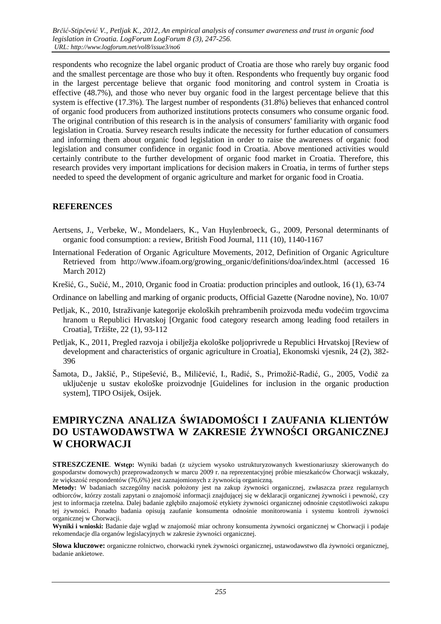respondents who recognize the label organic product of Croatia are those who rarely buy organic food and the smallest percentage are those who buy it often. Respondents who frequently buy organic food in the largest percentage believe that organic food monitoring and control system in Croatia is effective (48.7%), and those who never buy organic food in the largest percentage believe that this system is effective (17.3%). The largest number of respondents (31.8%) believes that enhanced control of organic food producers from authorized institutions protects consumers who consume organic food. The original contribution of this research is in the analysis of consumers' familiarity with organic food legislation in Croatia. Survey research results indicate the necessity for further education of consumers and informing them about organic food legislation in order to raise the awareness of organic food legislation and consumer confidence in organic food in Croatia. Above mentioned activities would certainly contribute to the further development of organic food market in Croatia. Therefore, this research provides very important implications for decision makers in Croatia, in terms of further steps needed to speed the development of organic agriculture and market for organic food in Croatia.

## **REFERENCES**

- Aertsens, J., Verbeke, W., Mondelaers, K., Van Huylenbroeck, G., 2009, Personal determinants of organic food consumption: a review, British Food Journal, 111 (10), 1140-1167
- International Federation of Organic Agriculture Movements, 2012, Definition of Organic Agriculture Retrieved from http://www.ifoam.org/growing\_organic/definitions/doa/index.html (accessed 16 March 2012)
- Krešić, G., Sučić, M., 2010, Organic food in Croatia: production principles and outlook, 16 (1), 63-74
- Ordinance on labelling and marking of organic products, Official Gazette (Narodne novine), No. 10/07
- Petljak, K., 2010, Istraživanje kategorije ekoloških prehrambenih proizvoda među vodećim trgovcima hranom u Republici Hrvatskoj [Organic food category research among leading food retailers in Croatia], Tržište, 22 (1), 93-112
- Petljak, K., 2011, Pregled razvoja i obilježja ekološke poljoprivrede u Republici Hrvatskoj [Review of development and characteristics of organic agriculture in Croatia], Ekonomski vjesnik, 24 (2), 382- 396
- Šamota, D., Jakšić, P., Stipešević, B., Miličević, I., Radić, S., Primožič-Radić, G., 2005, Vodič za uključenje u sustav ekološke proizvodnje [Guidelines for inclusion in the organic production system], TIPO Osijek, Osijek.

# **EMPIRYCZNA ANALIZA ŚWIADOMOŚCI I ZAUFANIA KLIENTÓW DO USTAWODAWSTWA W ZAKRESIE ŻYWNOŚCI ORGANICZNEJ W CHORWACJI**

**STRESZCZENIE**. **Wstęp:** Wyniki badań (z użyciem wysoko ustrukturyzowanych kwestionariuszy skierowanych do gospodarstw domowych) przeprowadzonych w marcu 2009 r. na reprezentacyjnej próbie mieszkańców Chorwacji wskazały, że większość respondentów (76,6%) jest zaznajomionych z żywnością organiczną.

**Metody:** W badaniach szczególny nacisk położony jest na zakup żywności organicznej, zwłaszcza przez regularnych odbiorców, którzy zostali zapytani o znajomość informacji znajdującej się w deklaracji organicznej żywności i pewność, czy jest to informacja rzetelna. Dalej badanie zgłębiło znajomość etykiety żywności organicznej odnośnie częstotliwości zakupu tej żywności. Ponadto badania opisują zaufanie konsumenta odnośnie monitorowania i systemu kontroli żywności organicznej w Chorwacji.

**Wyniki i wnioski:** Badanie daje wgląd w znajomość miar ochrony konsumenta żywności organicznej w Chorwacji i podaje rekomendacje dla organów legislacyjnych w zakresie żywności organicznej.

**Słowa kluczowe:** organiczne rolnictwo, chorwacki rynek żywności organicznej, ustawodawstwo dla żywności organicznej, badanie ankietowe.